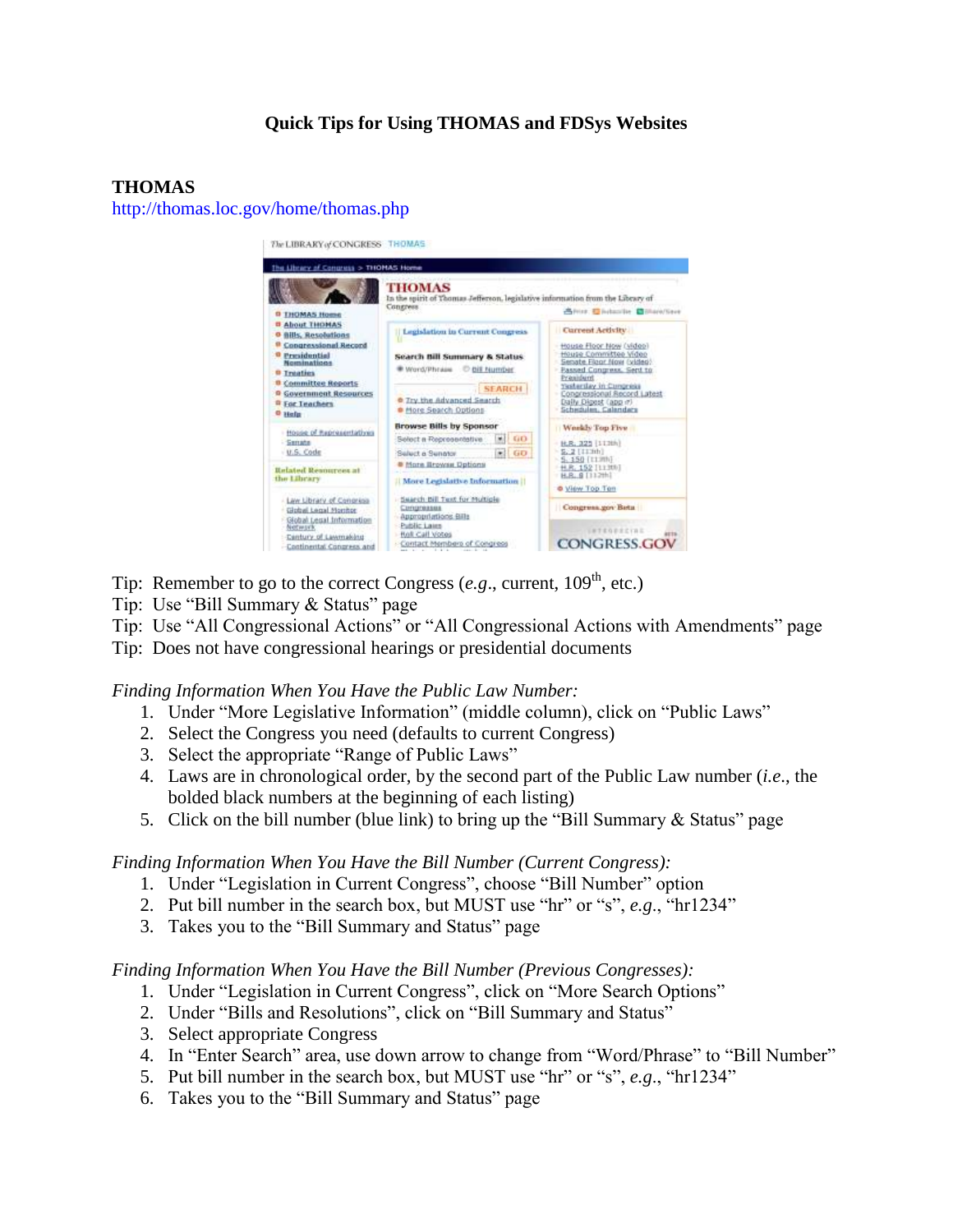# **Quick Tips for Using THOMAS and FDSys Websites**

### **THOMAS**

<http://thomas.loc.gov/home/thomas.php>



- Tip: Remember to go to the correct Congress  $(e.g.,$  current,  $109<sup>th</sup>$ , etc.)
- Tip: Use "Bill Summary & Status" page
- Tip: Use "All Congressional Actions" or "All Congressional Actions with Amendments" page
- Tip: Does not have congressional hearings or presidential documents

#### *Finding Information When You Have the Public Law Number:*

- 1. Under "More Legislative Information" (middle column), click on "Public Laws"
- 2. Select the Congress you need (defaults to current Congress)
- 3. Select the appropriate "Range of Public Laws"
- 4. Laws are in chronological order, by the second part of the Public Law number (*i.e*., the bolded black numbers at the beginning of each listing)
- 5. Click on the bill number (blue link) to bring up the "Bill Summary & Status" page

#### *Finding Information When You Have the Bill Number (Current Congress):*

- 1. Under "Legislation in Current Congress", choose "Bill Number" option
- 2. Put bill number in the search box, but MUST use "hr" or "s", *e.g*., "hr1234"
- 3. Takes you to the "Bill Summary and Status" page

#### *Finding Information When You Have the Bill Number (Previous Congresses):*

- 1. Under "Legislation in Current Congress", click on "More Search Options"
- 2. Under "Bills and Resolutions", click on "Bill Summary and Status"
- 3. Select appropriate Congress
- 4. In "Enter Search" area, use down arrow to change from "Word/Phrase" to "Bill Number"
- 5. Put bill number in the search box, but MUST use "hr" or "s", *e.g*., "hr1234"
- 6. Takes you to the "Bill Summary and Status" page